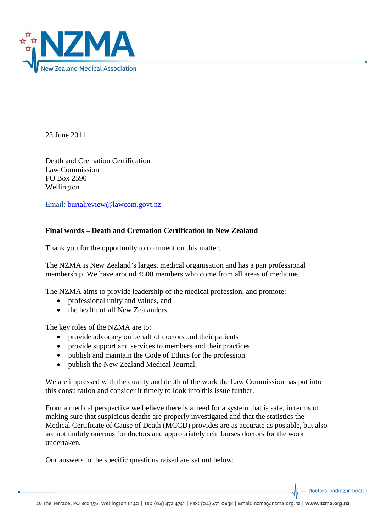

23 June 2011

Death and Cremation Certification Law Commission PO Box 2590 Wellington

Email: [burialreview@lawcom.govt.nz](mailto:burialreview@lawcom.govt.nz)

# **Final words – Death and Cremation Certification in New Zealand**

Thank you for the opportunity to comment on this matter.

The NZMA is New Zealand's largest medical organisation and has a pan professional membership. We have around 4500 members who come from all areas of medicine.

The NZMA aims to provide leadership of the medical profession, and promote:

- professional unity and values, and
- the health of all New Zealanders.

The key roles of the NZMA are to:

- provide advocacy on behalf of doctors and their patients
- provide support and services to members and their practices
- publish and maintain the Code of Ethics for the profession
- publish the New Zealand Medical Journal.

We are impressed with the quality and depth of the work the Law Commission has put into this consultation and consider it timely to look into this issue further.

From a medical perspective we believe there is a need for a system that is safe, in terms of making sure that suspicious deaths are properly investigated and that the statistics the Medical Certificate of Cause of Death (MCCD) provides are as accurate as possible, but also are not unduly onerous for doctors and appropriately reimburses doctors for the work undertaken.

Our answers to the specific questions raised are set out below:

Doctors leading in health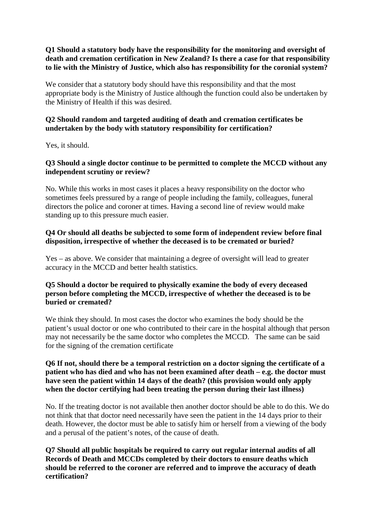**Q1 Should a statutory body have the responsibility for the monitoring and oversight of death and cremation certification in New Zealand? Is there a case for that responsibility to lie with the Ministry of Justice, which also has responsibility for the coronial system?**

We consider that a statutory body should have this responsibility and that the most appropriate body is the Ministry of Justice although the function could also be undertaken by the Ministry of Health if this was desired.

# **Q2 Should random and targeted auditing of death and cremation certificates be undertaken by the body with statutory responsibility for certification?**

Yes, it should.

### **Q3 Should a single doctor continue to be permitted to complete the MCCD without any independent scrutiny or review?**

No. While this works in most cases it places a heavy responsibility on the doctor who sometimes feels pressured by a range of people including the family, colleagues, funeral directors the police and coroner at times. Having a second line of review would make standing up to this pressure much easier.

# **Q4 Or should all deaths be subjected to some form of independent review before final disposition, irrespective of whether the deceased is to be cremated or buried?**

Yes – as above. We consider that maintaining a degree of oversight will lead to greater accuracy in the MCCD and better health statistics.

### **Q5 Should a doctor be required to physically examine the body of every deceased person before completing the MCCD, irrespective of whether the deceased is to be buried or cremated?**

We think they should. In most cases the doctor who examines the body should be the patient's usual doctor or one who contributed to their care in the hospital although that person may not necessarily be the same doctor who completes the MCCD. The same can be said for the signing of the cremation certificate

### **Q6 If not, should there be a temporal restriction on a doctor signing the certificate of a patient who has died and who has not been examined after death – e.g. the doctor must have seen the patient within 14 days of the death? (this provision would only apply when the doctor certifying had been treating the person during their last illness)**

No. If the treating doctor is not available then another doctor should be able to do this. We do not think that that doctor need necessarily have seen the patient in the 14 days prior to their death. However, the doctor must be able to satisfy him or herself from a viewing of the body and a perusal of the patient's notes, of the cause of death.

# **Q7 Should all public hospitals be required to carry out regular internal audits of all Records of Death and MCCDs completed by their doctors to ensure deaths which should be referred to the coroner are referred and to improve the accuracy of death certification?**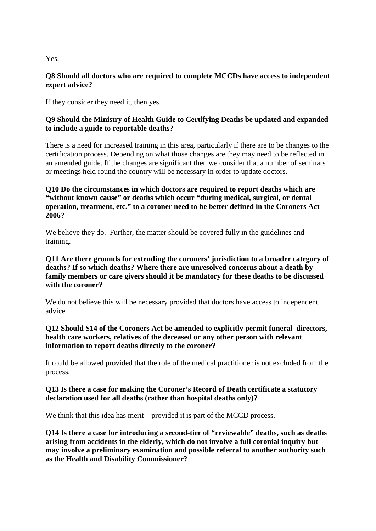Yes.

### **Q8 Should all doctors who are required to complete MCCDs have access to independent expert advice?**

If they consider they need it, then yes.

# **Q9 Should the Ministry of Health Guide to Certifying Deaths be updated and expanded to include a guide to reportable deaths?**

There is a need for increased training in this area, particularly if there are to be changes to the certification process. Depending on what those changes are they may need to be reflected in an amended guide. If the changes are significant then we consider that a number of seminars or meetings held round the country will be necessary in order to update doctors.

### **Q10 Do the circumstances in which doctors are required to report deaths which are "without known cause" or deaths which occur "during medical, surgical, or dental operation, treatment, etc." to a coroner need to be better defined in the Coroners Act 2006?**

We believe they do. Further, the matter should be covered fully in the guidelines and training.

### **Q11 Are there grounds for extending the coroners' jurisdiction to a broader category of deaths? If so which deaths? Where there are unresolved concerns about a death by family members or care givers should it be mandatory for these deaths to be discussed with the coroner?**

We do not believe this will be necessary provided that doctors have access to independent advice.

# **Q12 Should S14 of the Coroners Act be amended to explicitly permit funeral directors, health care workers, relatives of the deceased or any other person with relevant information to report deaths directly to the coroner?**

It could be allowed provided that the role of the medical practitioner is not excluded from the process.

### **Q13 Is there a case for making the Coroner's Record of Death certificate a statutory declaration used for all deaths (rather than hospital deaths only)?**

We think that this idea has merit – provided it is part of the MCCD process.

**Q14 Is there a case for introducing a second-tier of "reviewable" deaths, such as deaths arising from accidents in the elderly, which do not involve a full coronial inquiry but may involve a preliminary examination and possible referral to another authority such as the Health and Disability Commissioner?**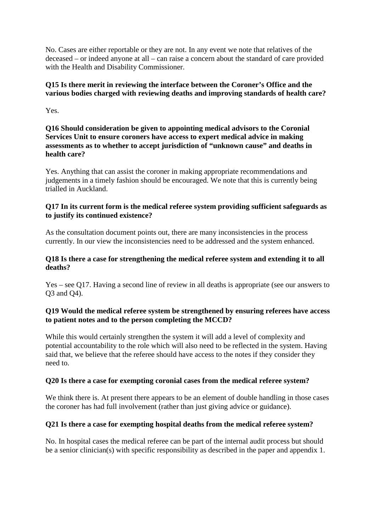No. Cases are either reportable or they are not. In any event we note that relatives of the deceased – or indeed anyone at all – can raise a concern about the standard of care provided with the Health and Disability Commissioner.

# **Q15 Is there merit in reviewing the interface between the Coroner's Office and the various bodies charged with reviewing deaths and improving standards of health care?**

Yes.

**Q16 Should consideration be given to appointing medical advisors to the Coronial Services Unit to ensure coroners have access to expert medical advice in making assessments as to whether to accept jurisdiction of "unknown cause" and deaths in health care?**

Yes. Anything that can assist the coroner in making appropriate recommendations and judgements in a timely fashion should be encouraged. We note that this is currently being trialled in Auckland.

# **Q17 In its current form is the medical referee system providing sufficient safeguards as to justify its continued existence?**

As the consultation document points out, there are many inconsistencies in the process currently. In our view the inconsistencies need to be addressed and the system enhanced.

### **Q18 Is there a case for strengthening the medical referee system and extending it to all deaths?**

Yes – see Q17. Having a second line of review in all deaths is appropriate (see our answers to Q3 and Q4).

# **Q19 Would the medical referee system be strengthened by ensuring referees have access to patient notes and to the person completing the MCCD?**

While this would certainly strengthen the system it will add a level of complexity and potential accountability to the role which will also need to be reflected in the system. Having said that, we believe that the referee should have access to the notes if they consider they need to.

# **Q20 Is there a case for exempting coronial cases from the medical referee system?**

We think there is. At present there appears to be an element of double handling in those cases the coroner has had full involvement (rather than just giving advice or guidance).

# **Q21 Is there a case for exempting hospital deaths from the medical referee system?**

No. In hospital cases the medical referee can be part of the internal audit process but should be a senior clinician(s) with specific responsibility as described in the paper and appendix 1.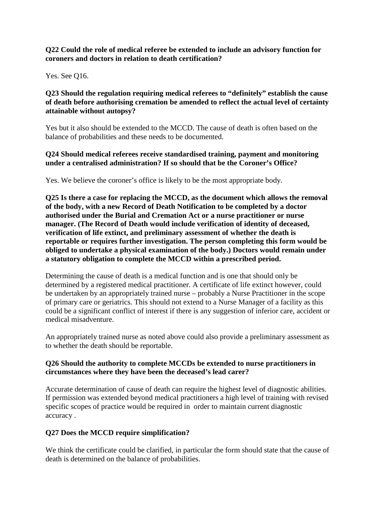### **Q22 Could the role of medical referee be extended to include an advisory function for coroners and doctors in relation to death certification?**

Yes. See Q16.

# **Q23 Should the regulation requiring medical referees to "definitely" establish the cause of death before authorising cremation be amended to reflect the actual level of certainty attainable without autopsy?**

Yes but it also should be extended to the MCCD. The cause of death is often based on the balance of probabilities and these needs to be documented.

### **Q24 Should medical referees receive standardised training, payment and monitoring under a centralised administration? If so should that be the Coroner's Office?**

Yes. We believe the coroner's office is likely to be the most appropriate body.

**Q25 Is there a case for replacing the MCCD, as the document which allows the removal of the body, with a new Record of Death Notification to be completed by a doctor authorised under the Burial and Cremation Act or a nurse practitioner or nurse manager. (The Record of Death would include verification of identity of deceased, verification of life extinct, and preliminary assessment of whether the death is reportable or requires further investigation. The person completing this form would be obliged to undertake a physical examination of the body.) Doctors would remain under a statutory obligation to complete the MCCD within a prescribed period.**

Determining the cause of death is a medical function and is one that should only be determined by a registered medical practitioner. A certificate of life extinct however, could be undertaken by an appropriately trained nurse – probably a Nurse Practitioner in the scope of primary care or geriatrics. This should not extend to a Nurse Manager of a facility as this could be a significant conflict of interest if there is any suggestion of inferior care, accident or medical misadventure.

An appropriately trained nurse as noted above could also provide a preliminary assessment as to whether the death should be reportable.

# **Q26 Should the authority to complete MCCDs be extended to nurse practitioners in circumstances where they have been the deceased's lead carer?**

Accurate determination of cause of death can require the highest level of diagnostic abilities. If permission was extended beyond medical practitioners a high level of training with revised specific scopes of practice would be required in order to maintain current diagnostic accuracy .

# **Q27 Does the MCCD require simplification?**

We think the certificate could be clarified, in particular the form should state that the cause of death is determined on the balance of probabilities.